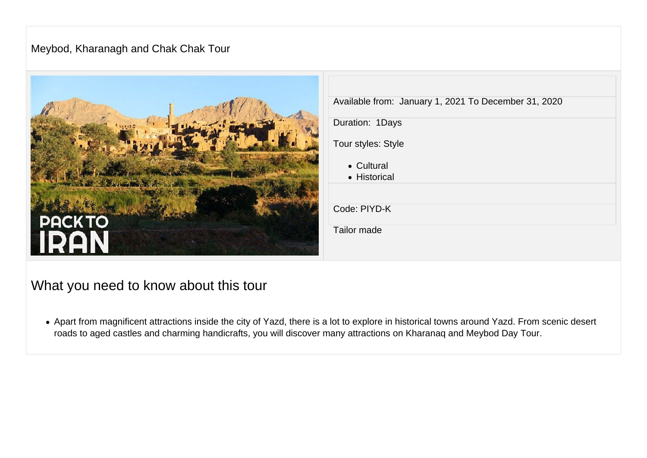#### Meybod, Kharanagh and Chak Chak Tour



### What you need to know about this tour

• Apart from magnificent attractions inside the city of Yazd, there is a lot to explore in historical towns around Yazd. From scenic desert roads to aged castles and charming handicrafts, you will discover many attractions on Kharanaq and Meybod Day Tour.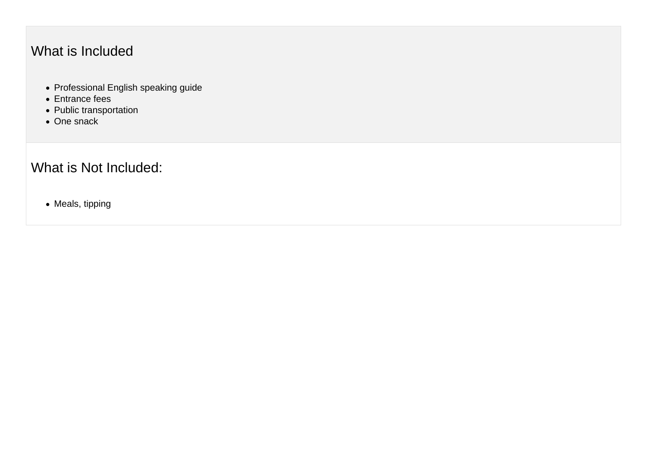# What is Included

- Professional English speaking guide
- Entrance fees
- Public transportation
- One snack

# What is Not Included:

• Meals, tipping